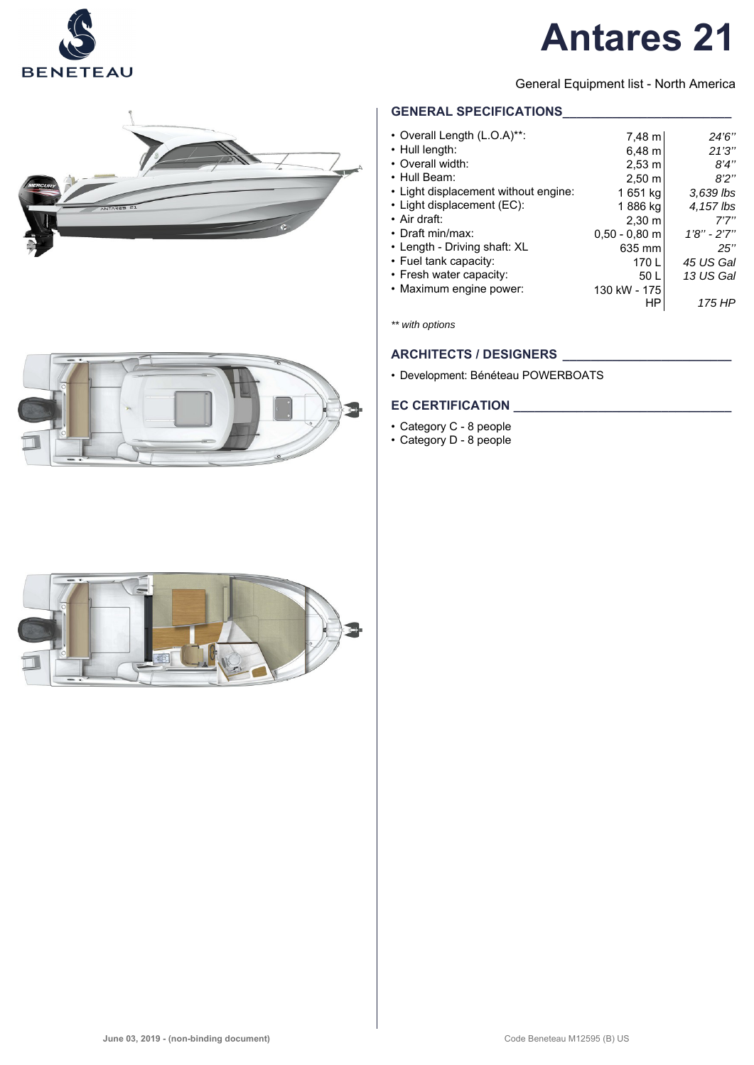

## **Antares 21**



### **GENERAL SPECIFICATIONS\_\_\_\_\_\_\_\_\_\_\_\_\_\_\_\_\_\_\_\_\_\_\_\_**

| • Overall Length (L.O.A)**:          | $7,48 \; m$     | 24'6''        |
|--------------------------------------|-----------------|---------------|
| • Hull length:                       | $6,48 \; m$     | 21'3''        |
| • Overall width:                     | $2,53 \; m$     | 8'4''         |
| • Hull Beam:                         | $2,50 \; m$     | 8'2''         |
| • Light displacement without engine: | 1651 kg         | $3.639$ lbs   |
| • Light displacement (EC):           | 1886 kg         | 4,157 lbs     |
| $\cdot$ Air draft:                   | $2,30 \; m$     | 7'7''         |
| • Draft min/max:                     | $0.50 - 0.80$ m | $1'8" - 2'7"$ |
| • Length - Driving shaft: XL         | 635 mm          | 25"           |
| • Fuel tank capacity:                | 170 L           | 45 US Gal     |
| • Fresh water capacity:              | 50 <sub>L</sub> | 13 US Gal     |
| • Maximum engine power:              | 130 kW - 175    |               |
|                                      | ΗP              | 175 HP        |

*\*\* with options*

## **ARCHITECTS / DESIGNERS \_\_\_\_\_\_\_\_\_\_\_\_\_\_\_\_\_\_\_\_\_\_\_\_**

• Development: Bénéteau POWERBOATS

#### **EC CERTIFICATION \_\_\_\_\_\_\_\_\_\_\_\_\_\_\_\_\_\_\_\_\_\_\_\_\_\_\_\_\_\_\_**

- Category C 8 people
- Category D 8 people



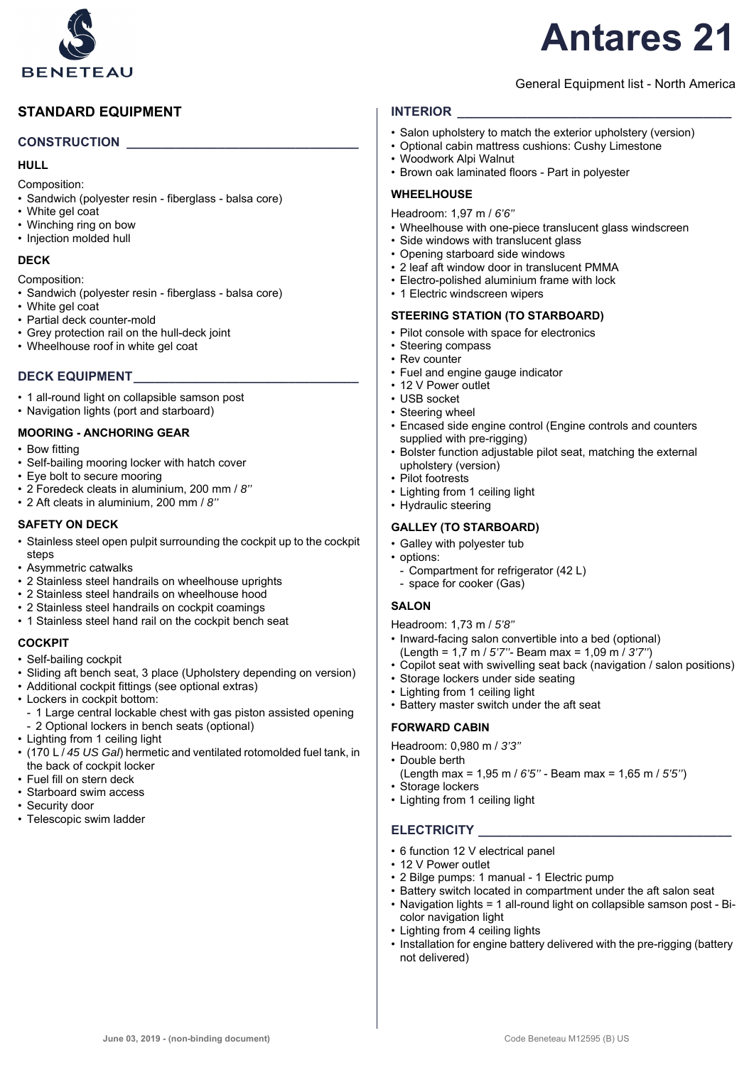

# **Antares 21**

## **STANDARD EQUIPMENT**

#### **CONSTRUCTION \_\_\_\_\_\_\_\_\_\_\_\_\_\_\_\_\_\_\_\_\_\_\_\_\_\_\_\_\_\_\_\_\_**

#### **HULL**

Composition:

- Sandwich (polyester resin fiberglass balsa core)
- White gel coat
- Winching ring on bow
- Injection molded hull

#### **DECK**

Composition:

- Sandwich (polyester resin fiberglass balsa core)
- White gel coat
- Partial deck counter-mold
- Grey protection rail on the hull-deck joint
- Wheelhouse roof in white gel coat

#### **DECK EQUIPMENT\_\_\_\_\_\_\_\_\_\_\_\_\_\_\_\_\_\_\_\_\_\_\_\_\_\_\_\_\_\_\_\_**

- 1 all-round light on collapsible samson post
- Navigation lights (port and starboard)

#### **MOORING - ANCHORING GEAR**

- Bow fitting
- Self-bailing mooring locker with hatch cover
- Eye bolt to secure mooring
- 2 Foredeck cleats in aluminium, 200 mm / *8''*
- 2 Aft cleats in aluminium, 200 mm / *8''*

#### **SAFETY ON DECK**

- Stainless steel open pulpit surrounding the cockpit up to the cockpit steps
- Asymmetric catwalks
- 2 Stainless steel handrails on wheelhouse uprights
- 2 Stainless steel handrails on wheelhouse hood
- 2 Stainless steel handrails on cockpit coamings
- 1 Stainless steel hand rail on the cockpit bench seat

#### **COCKPIT**

- Self-bailing cockpit
- Sliding aft bench seat, 3 place (Upholstery depending on version)
- Additional cockpit fittings (see optional extras)
- Lockers in cockpit bottom:
	- 1 Large central lockable chest with gas piston assisted opening - 2 Optional lockers in bench seats (optional)
- Lighting from 1 ceiling light
- (170 L / *45 US Gal*) hermetic and ventilated rotomolded fuel tank, in the back of cockpit locker
- Fuel fill on stern deck
- Starboard swim access
- Security door
- Telescopic swim ladder

## General Equipment list - North America

## **INTERIOR**

- Salon upholstery to match the exterior upholstery (version)
- Optional cabin mattress cushions: Cushy Limestone
- Woodwork Alpi Walnut
- Brown oak laminated floors Part in polyester

#### **WHEELHOUSE**

Headroom: 1,97 m / *6'6''*

- Wheelhouse with one-piece translucent glass windscreen
- Side windows with translucent glass
- Opening starboard side windows
- 2 leaf aft window door in translucent PMMA
- Electro-polished aluminium frame with lock
- 1 Electric windscreen wipers

#### **STEERING STATION (TO STARBOARD)**

- Pilot console with space for electronics
- Steering compass
- Rev counter
- Fuel and engine gauge indicator
- 12 V Power outlet
- USB socket
- Steering wheel
- Encased side engine control (Engine controls and counters supplied with pre-rigging)
- Bolster function adjustable pilot seat, matching the external upholstery (version)
- Pilot footrests
- Lighting from 1 ceiling light
- Hydraulic steering

## **GALLEY (TO STARBOARD)**

- Galley with polyester tub
- options:
	- Compartment for refrigerator (42 L)
	- space for cooker (Gas)

#### **SALON**

Headroom: 1,73 m / *5'8''*

- Inward-facing salon convertible into a bed (optional)
- (Length = 1,7 m / *5'7''* Beam max = 1,09 m / *3'7''*)
- Copilot seat with swivelling seat back (navigation / salon positions)
- Storage lockers under side seating
- Lighting from 1 ceiling light
- Battery master switch under the aft seat

#### **FORWARD CABIN**

Headroom: 0,980 m / *3'3''*

- Double berth
- (Length max = 1,95 m / *6'5''*  Beam max = 1,65 m / *5'5''*)
- Storage lockers
- Lighting from 1 ceiling light

## $ELECTRICITY$

- 6 function 12 V electrical panel
- 12 V Power outlet
- 2 Bilge pumps: 1 manual 1 Electric pump
- Battery switch located in compartment under the aft salon seat
- Navigation lights = 1 all-round light on collapsible samson post Bicolor navigation light
- Lighting from 4 ceiling lights
- Installation for engine battery delivered with the pre-rigging (battery not delivered)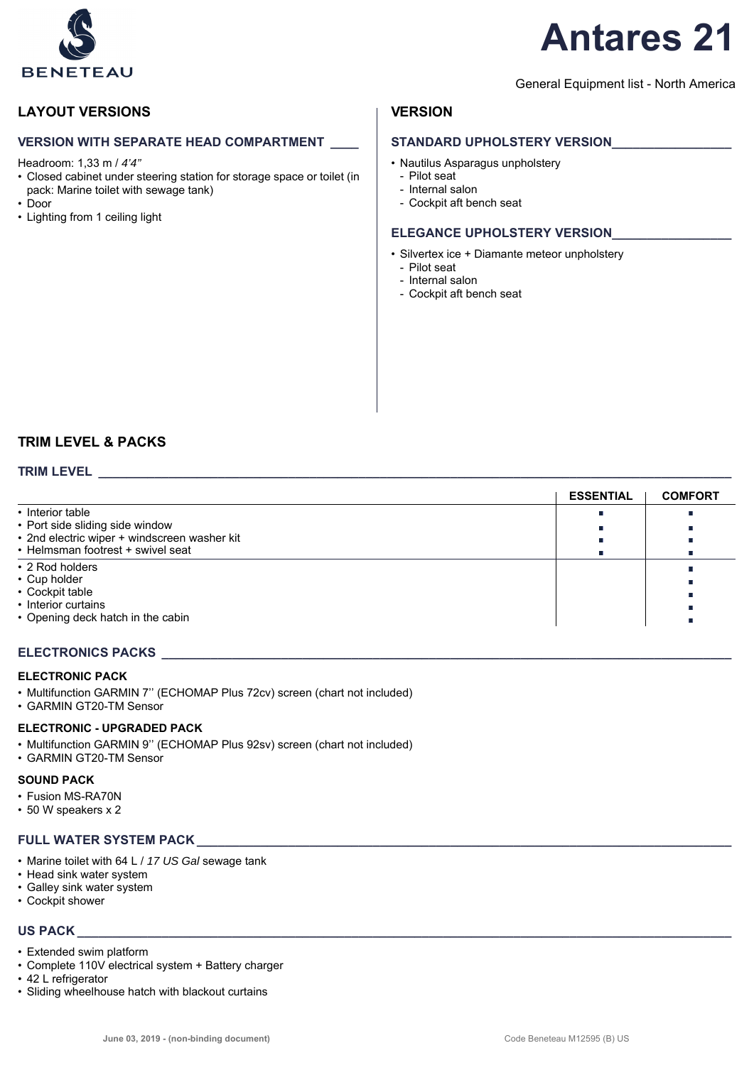

## **Antares 21**

## **LAYOUT VERSIONS**

#### **VERSION WITH SEPARATE HEAD COMPARTMENT \_\_\_\_**

Headroom: 1,33 m / *4'4''*

- Closed cabinet under steering station for storage space or toilet (in pack: Marine toilet with sewage tank)
- Door
- Lighting from 1 ceiling light

#### General Equipment list - North America

### **VERSION**

#### **STANDARD UPHOLSTERY VERSION\_\_\_\_\_\_\_\_\_\_\_\_\_\_\_\_\_**

- Nautilus Asparagus unpholstery
	- Pilot seat
	- Internal salon
	- Cockpit aft bench seat

#### **ELEGANCE UPHOLSTERY VERSION\_\_\_\_\_\_\_\_\_\_\_\_\_\_\_\_\_**

- Silvertex ice + Diamante meteor unpholstery
	- Pilot seat
	- Internal salon
- Cockpit aft bench seat

## **TRIM LEVEL & PACKS**

#### **TRIM LEVEL**

|                                                                                                                | <b>ESSENTIAL</b> | <b>COMFORT</b> |
|----------------------------------------------------------------------------------------------------------------|------------------|----------------|
| • Interior table                                                                                               |                  |                |
| • Port side sliding side window                                                                                |                  |                |
| • 2nd electric wiper + windscreen washer kit<br>• Helmsman footrest + swivel seat                              |                  |                |
| • 2 Rod holders<br>• Cup holder<br>• Cockpit table<br>• Interior curtains<br>• Opening deck hatch in the cabin |                  |                |

#### **ELECTRONICS PACKS**

#### **ELECTRONIC PACK**

- Multifunction GARMIN 7'' (ECHOMAP Plus 72cv) screen (chart not included)
- GARMIN GT20-TM Sensor

#### **ELECTRONIC - UPGRADED PACK**

- Multifunction GARMIN 9'' (ECHOMAP Plus 92sv) screen (chart not included)
- GARMIN GT20-TM Sensor

#### **SOUND PACK**

- Fusion MS-RA70N
- 50 W speakers x 2

## **FULL WATER SYSTEM PACK**

- Marine toilet with 64 L / *17 US Gal* sewage tank
- Head sink water system
- Galley sink water system
- Cockpit shower

## **US PACK \_\_\_\_\_\_\_\_\_\_\_\_\_\_\_\_\_\_\_\_\_\_\_\_\_\_\_\_\_\_\_\_\_\_\_\_\_\_\_\_\_\_\_\_\_\_\_\_\_\_\_\_\_\_\_\_\_\_\_\_\_\_\_\_\_\_\_\_\_\_\_\_\_\_\_\_\_\_\_\_\_\_\_\_\_\_\_\_\_\_\_\_\_**

- Extended swim platform
- Complete 110V electrical system + Battery charger
- 42 L refrigerator
- Sliding wheelhouse hatch with blackout curtains